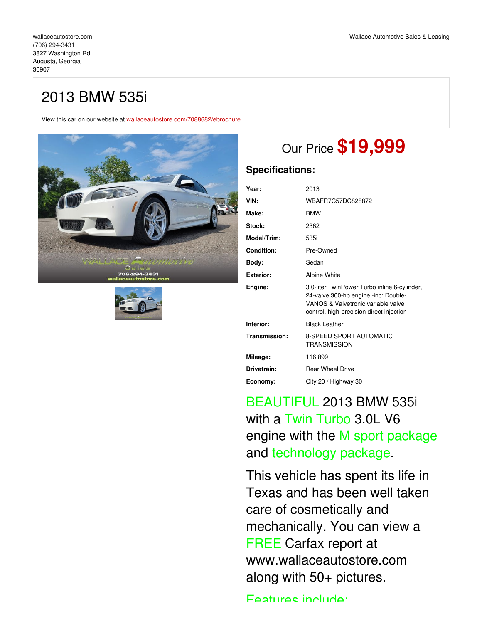## 2013 BMW 535i

View this car on our website at [wallaceautostore.com/7088682/ebrochure](https://wallaceautostore.com/vehicle/7088682/2013-bmw-535i-augusta-georgia-30907/7088682/ebrochure)





# Our Price **\$19,999**

## **Specifications:**

| Year:             | 2013                                                                                                                                                                   |
|-------------------|------------------------------------------------------------------------------------------------------------------------------------------------------------------------|
| VIN:              | WBAFR7C57DC828872                                                                                                                                                      |
| Make:             | <b>BMW</b>                                                                                                                                                             |
| Stock:            | 2362                                                                                                                                                                   |
| Model/Trim:       | 535i                                                                                                                                                                   |
| <b>Condition:</b> | Pre-Owned                                                                                                                                                              |
| Body:             | Sedan                                                                                                                                                                  |
| <b>Exterior:</b>  | Alpine White                                                                                                                                                           |
| Engine:           | 3.0-liter TwinPower Turbo inline 6-cylinder,<br>24-valve 300-hp engine -inc: Double-<br>VANOS & Valvetronic variable valve<br>control, high-precision direct injection |
| Interior:         | <b>Black Leather</b>                                                                                                                                                   |
| Transmission:     | <b>8-SPEED SPORT AUTOMATIC</b><br>TRANSMISSION                                                                                                                         |
| Mileage:          | 116,899                                                                                                                                                                |
| Drivetrain:       | <b>Rear Wheel Drive</b>                                                                                                                                                |
| Economy:          | City 20 / Highway 30                                                                                                                                                   |

# BEAUTIFUL 2013 BMW 535i with a Twin Turbo 3.0L V6 engine with the M sport package and technology package.

This vehicle has spent its life in Texas and has been well taken care of cosmetically and mechanically. You can view a FREE Carfax report at www.wallaceautostore.com along with 50+ pictures.

Foatures include: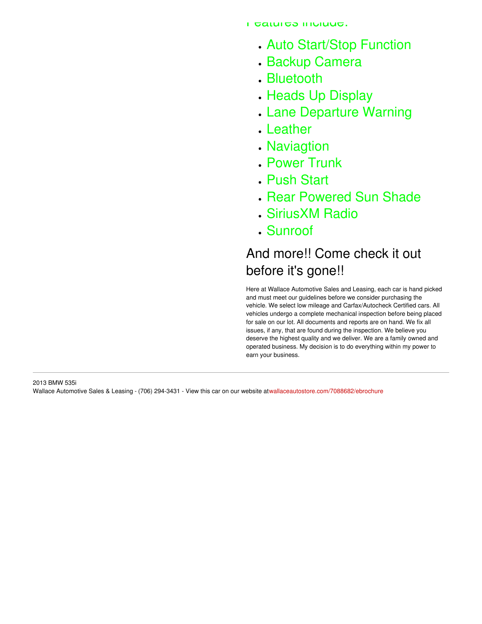- Auto Start/Stop Function
- Backup Camera
- Bluetooth
- . Heads Up Display
- Lane Departure Warning
- Leather
- Naviagtion
- Power Trunk
- Push Start
- . Rear Powered Sun Shade
- SiriusXM Radio
- Sunroof

# And more!! Come check it out before it's gone!!

Here at Wallace Automotive Sales and Leasing, each car is hand picked and must meet our guidelines before we consider purchasing the vehicle. We select low mileage and Carfax/Autocheck Certified cars. All vehicles undergo a complete mechanical inspection before being placed for sale on our lot. All documents and reports are on hand. We fix all issues, if any, that are found during the inspection. We believe you deserve the highest quality and we deliver. We are a family owned and operated business. My decision is to do everything within my power to earn your business.

2013 BMW 535i Wallace Automotive Sales & Leasing - (706) 294-3431 - View this car on our website at[wallaceautostore.com/7088682/ebrochure](https://wallaceautostore.com/vehicle/7088682/2013-bmw-535i-augusta-georgia-30907/7088682/ebrochure)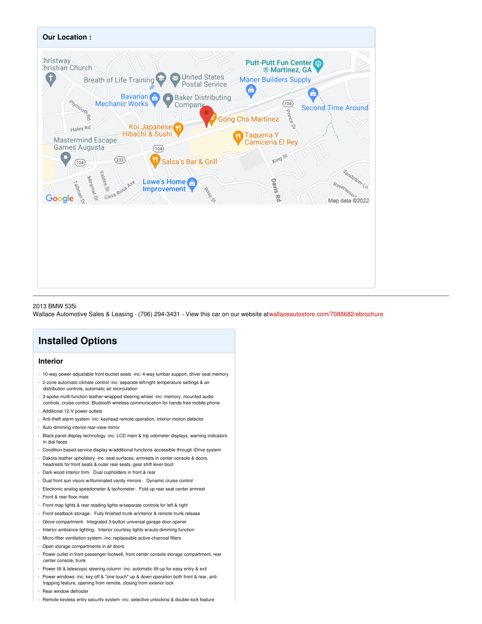

### 2013 BMW 535i

Wallace Automotive Sales & Leasing - (706) 294-3431 - View this car on our website at[wallaceautostore.com/7088682/ebrochure](https://wallaceautostore.com/vehicle/7088682/2013-bmw-535i-augusta-georgia-30907/7088682/ebrochure)

## **Installed Options**

### **Interior**

- 10-way power-adjustable front bucket seats -inc: 4-way lumbar support, driver seat memory - 2-zone automatic climate control -inc: separate left/right temperature settings & air
- distribution controls, automatic air recirculation - 3-spoke multi-function leather-wrapped steering wheel -inc: memory, mounted audio controls, cruise control, Bluetooth wireless communication for hands-free mobile phone
- Additional 12-V power outlets
- Anti-theft alarm system -inc: keyhead remote operation, interior motion detector
- Auto-dimming interior rear-view mirror
- Black panel display technology -inc: LCD main & trip odometer displays, warning indicators in dial faces
- Condition-based service display w/additional functions accessible through iDrive system
- Dakota leather upholstery -inc: seat surfaces, armrests in center console & doors, headrests for front seats & outer rear seats, gear shift lever boot
- Dark wood interior trim- Dual cupholders in front & rear
- Dual front sun visors w/illuminated vanity mirrors Dynamic cruise control
- Electronic analog speedometer & tachometer- Fold-up rear seat center armrest
- Front & rear floor mats
- Front map lights & rear reading lights w/separate controls for left & right
- Front seatback storage- Fully finished trunk w/interior & remote trunk release
- Glove compartment- Integrated 3-button universal garage door opener
- Interior ambiance lighting- Interior courtesy lights w/auto-dimming function
- Micro-filter ventilation system -inc: replaceable active-charcoal filters
- Open storage compartments in all doors
- Power outlet in front passenger footwell, front center console storage compartment, rear center console, trunk
- Power tilt & telescopic steering column -inc: automatic tilt-up for easy entry & exit
- Power windows -inc: key-off & "one touch" up & down operation both front & rear, antitrapping feature, opening from remote, closing from exterior lock
- Rear window defroster
- Remote keyless entry security system -inc: selective unlocking & double-lock feature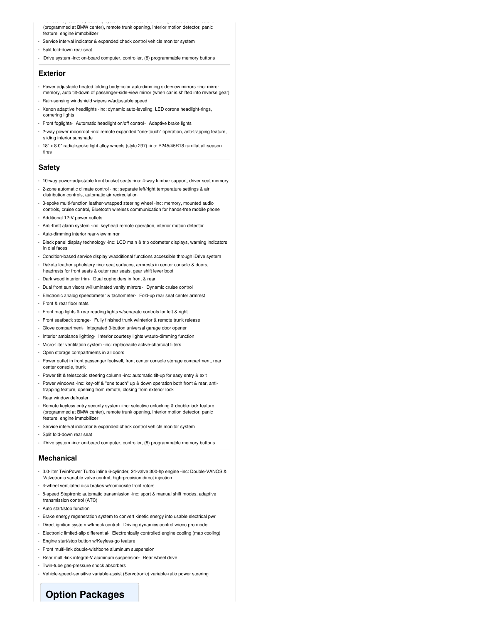- Remote keyless entry security system -inc: selective unlocking & double-lock feature (programmed at BMW center), remote trunk opening, interior motion detector, panic .<br>eature, engine immobilizer

- Service interval indicator & expanded check control vehicle monitor system
- Split fold-down rear seat
- iDrive system -inc: on-board computer, controller, (8) programmable memory buttons

### **Exterior**

- Power adjustable heated folding body-color auto-dimming side-view mirrors -inc: mirror memory, auto tilt-down of passenger-side-view mirror (when car is shifted into reverse gear)
- Rain-sensing windshield wipers w/adjustable speed
- Xenon adaptive headlights -inc: dynamic auto-leveling, LED corona headlight-rings, cornering lights
- Front foglights- Automatic headlight on/off control- Adaptive brake lights
- 2-way power moonroof -inc: remote expanded "one-touch" operation, anti-trapping feature, sliding interior sunshade
- 18" x 8.0" radial-spoke light alloy wheels (style 237) -inc: P245/45R18 run-flat all-season tires

### **Safety**

- 10-way power-adjustable front bucket seats -inc: 4-way lumbar support, driver seat memory
- 2-zone automatic climate control -inc: separate left/right temperature settings & air distribution controls, automatic air recirculation
- 3-spoke multi-function leather-wrapped steering wheel -inc: memory, mounted audio controls, cruise control, Bluetooth wireless communication for hands-free mobile phone
- Additional 12-V power outlets
- Anti-theft alarm system -inc: keyhead remote operation, interior motion detector
- Auto-dimming interior rear-view mirror
- Black panel display technology -inc: LCD main & trip odometer displays, warning indicators in dial faces
- Condition-based service display w/additional functions accessible through iDrive system - Dakota leather upholstery -inc: seat surfaces, armrests in center console & doors,
- headrests for front seats & outer rear seats, gear shift lever boot
- Dark wood interior trim- Dual cupholders in front & rear
- Dual front sun visors w/illuminated vanity mirrors Dynamic cruise control
- Electronic analog speedometer & tachometer- Fold-up rear seat center armrest
- Front & rear floor mats
- Front map lights & rear reading lights w/separate controls for left & right
- Front seatback storage- Fully finished trunk w/interior & remote trunk release
- Glove compartment- Integrated 3-button universal garage door opener
- Interior ambiance lighting- Interior courtesy lights w/auto-dimming function
- Micro-filter ventilation system -inc: replaceable active-charcoal filters
- Open storage compartments in all doors
- Power outlet in front passenger footwell, front center console storage compartment, rear center console, trunk
- Power tilt & telescopic steering column -inc: automatic tilt-up for easy entry & exit
- Power windows -inc: key-off & "one touch" up & down operation both front & rear, antitrapping feature, opening from remote, closing from exterior lock
- Rear window defroster
- Remote keyless entry security system -inc: selective unlocking & double-lock feature (programmed at BMW center), remote trunk opening, interior motion detector, panic feature, engine immobilizer
- Service interval indicator & expanded check control vehicle monitor system
- Split fold-down rear seat
- iDrive system -inc: on-board computer, controller, (8) programmable memory buttons

#### **Mechanical**

- 3.0-liter TwinPower Turbo inline 6-cylinder, 24-valve 300-hp engine -inc: Double-VANOS & Valvetronic variable valve control, high-precision direct injection
- 4-wheel ventilated disc brakes w/composite front rotors
- 8-speed Steptronic automatic transmission -inc: sport & manual shift modes, adaptive transmission control (ATC)
- Auto start/stop function
- Brake energy regeneration system to convert kinetic energy into usable electrical pwr
- Direct ignition system w/knock control- Driving dynamics control w/eco pro mode
- Electronic limited-slip differential- Electronically controlled engine cooling (map cooling)
- Engine start/stop button w/Keyless-go feature
- Front multi-link double-wishbone aluminum suspension
- Rear multi-link integral-V aluminum suspension- Rear wheel drive
- Twin-tube gas-pressure shock absorbers
- Vehicle-speed-sensitive variable-assist (Servotronic) variable-ratio power steering

## **Option Packages**